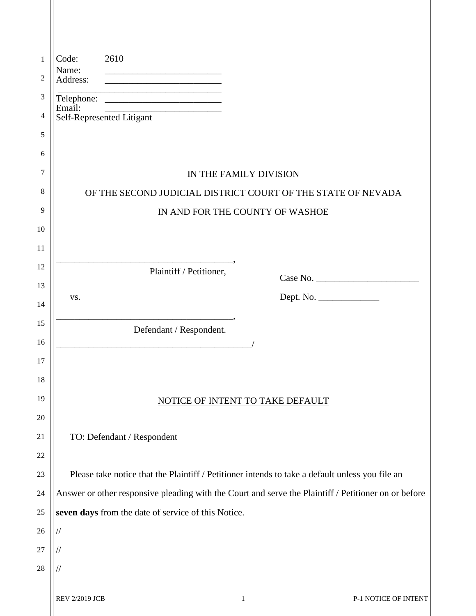| 1        | 2610<br>Code:                                                                                        |
|----------|------------------------------------------------------------------------------------------------------|
| 2        | Name:<br>Address:                                                                                    |
| 3        |                                                                                                      |
| 4        | Email:<br>Email:<br>Self-Represented Litigant                                                        |
| 5        |                                                                                                      |
| 6        |                                                                                                      |
| 7        | IN THE FAMILY DIVISION                                                                               |
| 8        | OF THE SECOND JUDICIAL DISTRICT COURT OF THE STATE OF NEVADA                                         |
| 9        | IN AND FOR THE COUNTY OF WASHOE                                                                      |
| 10       |                                                                                                      |
| 11       |                                                                                                      |
| 12       | Plaintiff / Petitioner,                                                                              |
| 13       | Dept. No.<br>VS.                                                                                     |
| 14       |                                                                                                      |
| 15       | Defendant / Respondent.                                                                              |
| 16       |                                                                                                      |
| 17       |                                                                                                      |
| 18<br>19 |                                                                                                      |
| 20       | NOTICE OF INTENT TO TAKE DEFAULT                                                                     |
| 21       | TO: Defendant / Respondent                                                                           |
| 22       |                                                                                                      |
| 23       | Please take notice that the Plaintiff / Petitioner intends to take a default unless you file an      |
| 24       | Answer or other responsive pleading with the Court and serve the Plaintiff / Petitioner on or before |
| 25       | seven days from the date of service of this Notice.                                                  |
| 26       | $/\!/$                                                                                               |
| 27       | //                                                                                                   |
| 28       | //                                                                                                   |
|          |                                                                                                      |